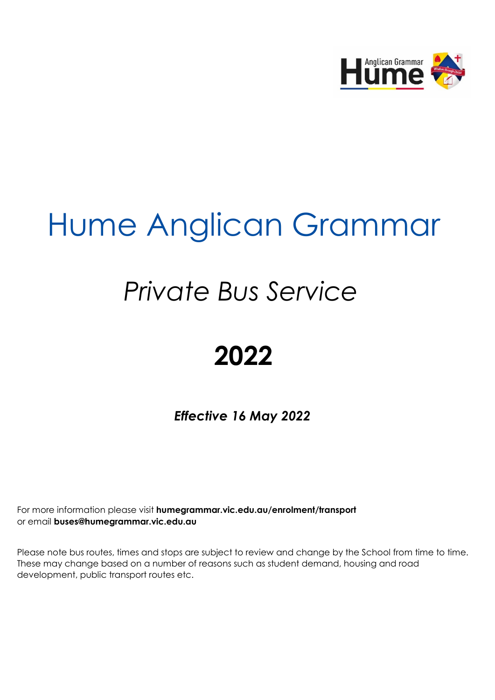

# Hume Anglican Grammar

# *Private Bus Service*

# **2022**

*Effective 16 May 2022*

For more information please visit **humegrammar.vic.edu.au/enrolment/transport** or email **buses@humegrammar.vic.edu.au** 

Please note bus routes, times and stops are subject to review and change by the School from time to time. These may change based on a number of reasons such as student demand, housing and road development, public transport routes etc.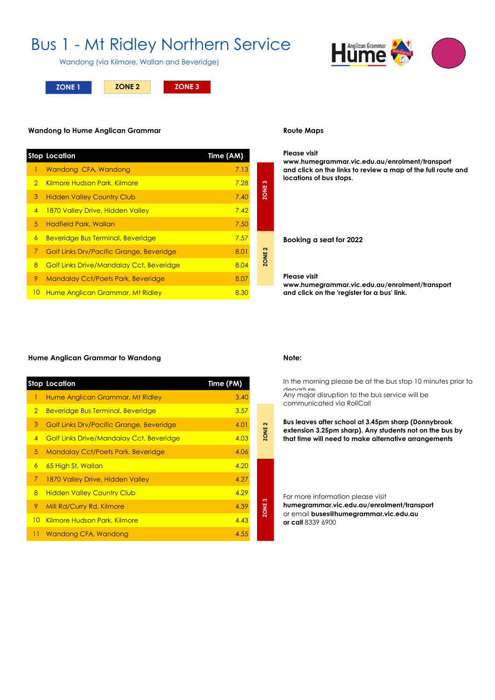## Bus 1 - Mt Ridley Northern Service

Wandong (via Kilmore, Wallan and Beveridge)

**ZONE 1 ZONE 3 ZONE 2**

#### **Wandong to Hume Anglican Grammar**

|                | <b>Stop Location</b>                            | Time (AM) |                   |
|----------------|-------------------------------------------------|-----------|-------------------|
|                | Wandong CFA, Wandong                            | 7.13      |                   |
| $\overline{2}$ | Kilmore Hudson Park, Kilmore                    | 7.28      | က                 |
| 3              | <b>Hidden Valley Country Club</b>               | 7.40      | <b>ZONE</b>       |
| $\overline{4}$ | 1870 Valley Drive, Hidden Valley                | 7.42      |                   |
| 5              | Hadfield Park, Wallan                           | 7.50      |                   |
| 6              | <b>Beveridge Bus Terminal, Beveridge</b>        | 7.57      |                   |
| 7              | <b>Golf Links Drv/Pacific Grange, Beveridge</b> | 8.01      | ZONE <sub>2</sub> |
| 8              | <b>Golf Links Drive/Mandalay Cct, Beveridge</b> | 8.04      |                   |
| 9              | <b>Mandalay Cct/Poets Park, Beveridge</b>       | 8.07      |                   |
| 10             | Hume Anglican Grammar, Mt Ridley                | 8.30      |                   |

#### **Route Maps**

#### **Please visit**

**www.humegrammar.vic.edu.au/enrolment/transport and click on the links to review a map of the full route and locations of bus stops.**

**Booking a seat for 2022**

#### **Please visit**

**www.humegrammar.vic.edu.au/enrolment/transport and click on the 'register for a bus' link.**

#### **Hume Anglican Grammar to Wandong Note:**

|                 | <b>Stop Location</b>                            | Time (PM) |
|-----------------|-------------------------------------------------|-----------|
| T.              | Hume Anglican Grammar, Mt Ridley                | 3.40      |
| $\overline{2}$  | <b>Beveridge Bus Terminal, Beveridge</b>        | 3.57      |
| 3               | Golf Links Drv/Pacific Grange, Beveridge        | 4.01      |
| $\overline{4}$  | <b>Golf Links Drive/Mandalay Cct, Beveridge</b> | 4.03      |
| 5.              | <b>Mandalay Cct/Poets Park, Beveridge</b>       | 4.06      |
| 6               | 65 High St, Wallan                              | 4.20      |
| 7               | 1870 Valley Drive, Hidden Valley                | 4.27      |
| 8               | <b>Hidden Valley Country Club</b>               | 4.29      |
| 9               | Mill Rd/Curry Rd, Kilmore                       | 4.39      |
| 10 <sup>°</sup> | Kilmore Hudson Park, Kilmore                    | 4.43      |
| П               | Wandong CFA, Wandong                            | 4.55      |

**ZONE 2 ZONE 2**

**ZONE 3**

ZONE<sub>2</sub>

In the morning please be at the bus stop 10 minutes prior to departure Any major disruption to the bus service will be communicated via RollCall

**Bus leaves after school at 3.45pm sharp (Donnybrook extension 3.25pm sharp). Any students not on the bus by that time will need to make alternative arrangements** 

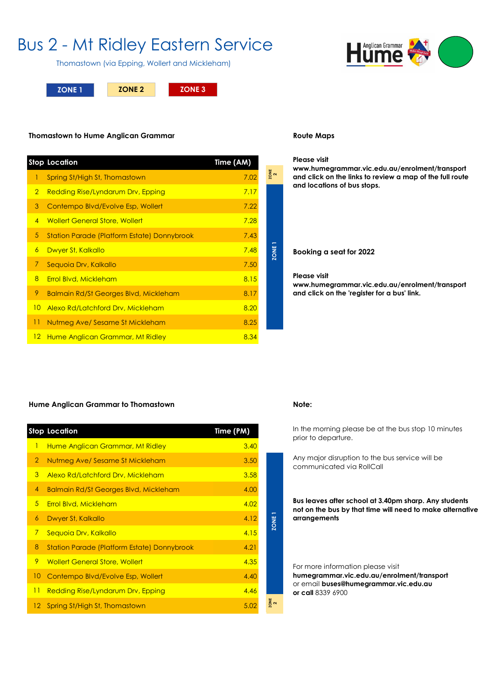## Bus 2 - Mt Ridley Eastern Service

Thomastown (via Epping, Wollert and Mickleham)

**ZONE 1 ZONE 2 ZONE 3**

### **Thomastown to Hume Anglican Grammar**

|                | <b>Stop Location</b>                                        | Time (AM) |               |
|----------------|-------------------------------------------------------------|-----------|---------------|
| $\mathbf{1}$   | Spring St/High St, Thomastown                               | 7.02      | $\frac{1}{2}$ |
| $\overline{2}$ | <b>Redding Rise/Lyndarum Drv, Epping</b>                    | 7.17      |               |
| 3              | Contempo Blvd/Evolve Esp, Wollert                           | 7.22      |               |
| $\overline{4}$ | <b>Wollert General Store, Wollert</b>                       | 7.28      |               |
| 5              | <b>Station Parade (Platform Estate) Donnybrook</b>          | 7.43      |               |
| $\overline{6}$ | Dwyer St, Kalkallo                                          | 7.48      | <b>ZONE</b>   |
| 7              | Sequoia Drv, Kalkallo                                       | 7.50      |               |
| $\overline{8}$ | Errol Blvd, Mickleham                                       | 8.15      |               |
| 9              | <b>Balmain Rd/St Georges Blvd, Mickleham</b>                | 8.17      |               |
| 10             | Alexo Rd/Latchford Drv, Mickleham                           | 8.20      |               |
| 11             | Nutmeg Ave/ Sesame St Mickleham                             | 8.25      |               |
| 12             | Hume Anglican Grammar, Mt Ridley                            | 8.34      |               |
|                | Hume Anglican Grammar to Thomastown<br><b>Stop Location</b> | Time (PM) |               |
| $\mathbf{1}$   | Hume Anglican Grammar, Mt Ridley                            | 3.40      |               |
| $\overline{2}$ | Nutmeg Ave/ Sesame St Mickleham                             | 3.50      |               |
| 3              | Alexo Rd/Latchford Drv, Mickleham                           | 3.58      |               |
| $\overline{4}$ | <b>Balmain Rd/St Georges Blvd, Mickleham</b>                | 4.00      |               |
| 5              | Errol Blvd, Mickleham                                       | 4.02      |               |
| 6              | Dwyer St, Kalkallo                                          | 4.12      | Ž.            |
|                |                                                             |           |               |

### **Route Maps**

#### **Please visit**

**www.humegrammar.vic.edu.au/enrolment/transport and click on the links to review a map of the full route and locations of bus stops.**

**Booking a seat for 2022**

#### **Please visit**

**www.humegrammar.vic.edu.au/enrolment/transport and click on the 'register for a bus' link.**

### **Hume Anglican Grammar to Thomastown Note:**

|                | <b>Stop Location</b>                               | Time (PM) |
|----------------|----------------------------------------------------|-----------|
| 1              | Hume Anglican Grammar, Mt Ridley                   | 3.40      |
| $\overline{2}$ | Nutmeg Ave/ Sesame St Mickleham                    | 3.50      |
| 3              | <b>Alexo Rd/Latchford Drv, Mickleham</b>           | 3.58      |
| 4              | <b>Balmain Rd/St Georges Blvd, Mickleham</b>       | 4.00      |
| $5^{\circ}$    | <b>Errol Blvd, Mickleham</b>                       | 4.02      |
| 6              | Dwyer St, Kalkallo                                 | 4.12      |
| 7              | Seguoia Drv, Kalkallo                              | 4.15      |
| 8              | <b>Station Parade (Platform Estate) Donnybrook</b> | 4.21      |
| 9              | <b>Wollert General Store, Wollert</b>              | 4.35      |
| 10             | Contempo Blvd/Evolve Esp, Wollert                  | 4.40      |
| 11             | <b>Redding Rise/Lyndarum Drv, Epping</b>           | 4.46      |
| $12 -$         | Spring St/High St, Thomastown                      | 5.02      |

**ZONE 2**

**ZONE1** 

In the morning please be at the bus stop 10 minutes prior to departure.

Any major disruption to the bus service will be communicated via RollCall

**Bus leaves after school at 3.40pm sharp. Any students not on the bus by that time will need to make alternative arrangements**

For more information please visit **humegrammar.vic.edu.au/enrolment/transport** or email **buses@humegrammar.vic.edu.au or call** 8339 6900

Anglican Grammar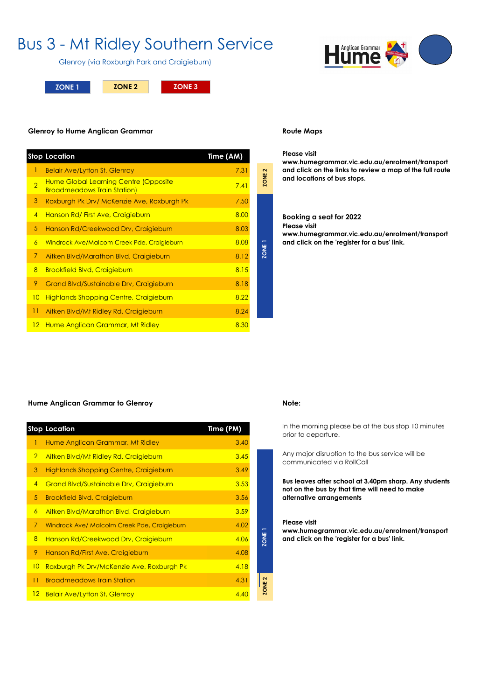## Bus 3 - Mt Ridley Southern Service

Glenroy (via Roxburgh Park and Craigieburn)

**ZONE 1 ZONE 2 ZONE 3**

#### **Glenroy to Hume Anglican Grammar**

|                | <b>Stop Location</b>                                                        | Time (AM) |                   |
|----------------|-----------------------------------------------------------------------------|-----------|-------------------|
| 1              | <b>Belair Ave/Lytton St, Glenroy</b>                                        | 7.31      | $\mathbf{\Omega}$ |
| $\overline{2}$ | Hume Global Learning Centre (Opposite<br><b>Broadmeadows Train Station)</b> | 7.41      | ZONE:             |
| 3              | Roxburgh Pk Drv/ McKenzie Ave, Roxburgh Pk                                  | 7.50      |                   |
| $\overline{4}$ | Hanson Rd/First Ave, Craigieburn                                            | 8.00      |                   |
| 5              | Hanson Rd/Creekwood Drv, Craigieburn                                        | 8.03      |                   |
| 6              | Windrock Ave/Malcom Creek Pde, Craigieburn                                  | 8.08      |                   |
| 7              | Aitken Blvd/Marathon Blvd, Craigieburn                                      | 8.12      | <b>ZONE</b>       |
| 8              | <b>Brookfield Blvd, Craigieburn</b>                                         | 8.15      |                   |
| 9              | Grand Blvd/Sustainable Drv, Craigieburn                                     | 8.18      |                   |
| 10             | <b>Highlands Shopping Centre, Craigieburn</b>                               | 8.22      |                   |
| 11             | Aitken Blvd/Mt Ridley Rd, Craigieburn                                       | 8.24      |                   |
| $12 \,$        | Hume Anglican Grammar, Mt Ridley                                            | 8.30      |                   |

#### **Route Maps**

### **Please visit**

**www.humegrammar.vic.edu.au/enrolment/transport and click on the links to review a map of the full route and locations of bus stops.**

#### Booking a seat for 2022 **Please visit www.humegrammar.vic.edu.au/enrolment/transport and click on the 'register for a bus' link.**

#### **Hume Anglican Grammar to Glenroy Note:**

|                 | <b>Stop Location</b>                           | Time (PM) |
|-----------------|------------------------------------------------|-----------|
| 1               | Hume Anglican Grammar, Mt Ridley               | 3.40      |
| $\overline{2}$  | Aitken Blvd/Mt Ridley Rd, Craigieburn          | 3.45      |
| 3               | <b>Highlands Shopping Centre, Craigieburn</b>  | 3.49      |
| $\overline{4}$  | <b>Grand Blvd/Sustainable Drv, Craigieburn</b> | 3.53      |
| 5               | <b>Brookfield Blvd, Craigieburn</b>            | 3.56      |
| 6               | Aitken Blvd/Marathon Blvd, Craigieburn         | 3.59      |
| 7               | Windrock Ave/ Malcolm Creek Pde, Craigieburn   | 4.02      |
| 8               | Hanson Rd/Creekwood Drv, Craigieburn           | 4.06      |
| 9               | Hanson Rd/First Ave, Craigieburn               | 4.08      |
| 10              | Roxburgh Pk Drv/McKenzie Ave, Roxburgh Pk      | 4.18      |
| 11              | <b>Broadmeadows Train Station</b>              | 4.31      |
| 12 <sup>2</sup> | <b>Belair Ave/Lytton St, Glenroy</b>           | 4.40      |

**ZONE 2 ZONE 2**

In the morning please be at the bus stop 10 minutes prior to departure.

Any major disruption to the bus service will be communicated via RollCall

**Bus leaves after school at 3.40pm sharp. Any students not on the bus by that time will need to make alternative arrangements**

#### **Please visit**

**ZONE 1**

ZONE<sub>2</sub>

**www.humegrammar.vic.edu.au/enrolment/transport and click on the 'register for a bus' link.**

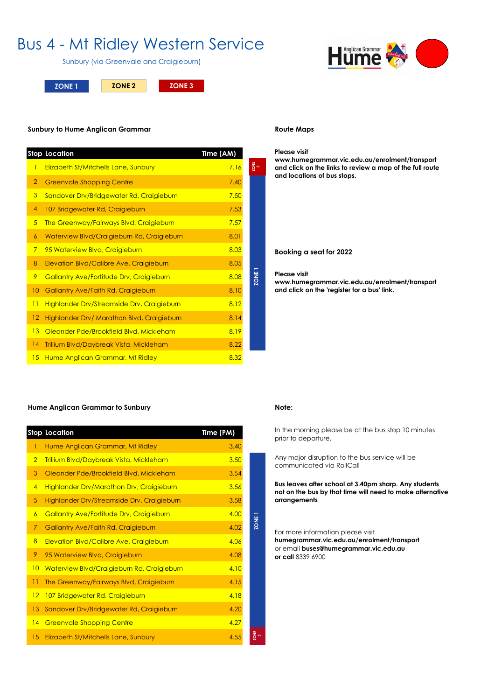## Bus 4 - Mt Ridley Western Service

Sunbury (via Greenvale and Craigieburn)

**ZONE 1 ZONE 2 ZONE 3**



#### **Route Maps**

#### **Please visit**

**www.humegrammar.vic.edu.au/enrolment/transport and click on the links to review a map of the full route and locations of bus stops.**

**Booking a seat for 2022**

#### **Please visit**

**www.humegrammar.vic.edu.au/enrolment/transport and click on the 'register for a bus' link.**

#### **Sunbury to Hume Anglican Grammar**

|                 | <b>Stop Location</b>                                                         | Time (AM)    |                |
|-----------------|------------------------------------------------------------------------------|--------------|----------------|
| $\mathbf{1}$    | Elizabeth St/Mitchells Lane, Sunbury                                         | 7.16         | ZONE<br>3      |
| $\overline{2}$  | <b>Greenvale Shopping Centre</b>                                             | 7.40         |                |
| 3               | Sandover Drv/Bridgewater Rd, Craigieburn                                     | 7.50         |                |
| 4               | 107 Bridgewater Rd, Craigieburn                                              | 7.53         |                |
| $5^{\circ}$     | The Greenway/Fairways Blvd, Craigieburn                                      | 7.57         |                |
| 6               | Waterview Blvd/Craigieburn Rd, Craigieburn                                   | 8.01         |                |
| $\overline{7}$  | 95 Waterview Blvd, Craigieburn                                               | 8.03         |                |
| 8               | Elevation Blvd/Calibre Ave, Craigieburn                                      | 8.05         |                |
| 9               | Gallantry Ave/Fortitude Drv, Craigieburn                                     | 8.08         | <b>ZONE</b>    |
| 10              | Gallantry Ave/Faith Rd, Craigieburn                                          | 8.10         |                |
| $\overline{11}$ | <b>Highlander Drv/Streamside Drv, Craigieburn</b>                            | 8.12         |                |
| 12              | Highlander Drv/ Marathon Blvd, Craigieburn                                   | 8.14         |                |
| 13              | Oleander Pde/Brookfield Blvd, Mickleham                                      | 8.19         |                |
|                 | Trillium Blvd/Daybreak Vista, Mickleham                                      | 8.22         |                |
| 4               |                                                                              |              |                |
| 15              | Hume Anglican Grammar, Mt Ridley<br><b>Hume Anglican Grammar to Sunbury</b>  | 8.32         |                |
|                 |                                                                              |              |                |
|                 | <b>Stop Location</b>                                                         | Time (PM)    |                |
| 1               | Hume Anglican Grammar, Mt Ridley                                             | 3.40         |                |
| $\overline{2}$  | <b>Trillium Blvd/Daybreak Vista, Mickleham</b>                               | 3.50         |                |
| 3               | Oleander Pde/Brookfield Blvd, Mickleham                                      | 3.54         |                |
| $\overline{4}$  | Highlander Drv/Marathon Drv, Craigieburn                                     | 3.56         |                |
| 5               | Highlander Drv/Streamside Drv, Craigieburn                                   | 3.58         |                |
| 6               | Gallantry Ave/Fortitude Drv, Craigieburn                                     | 4.00         |                |
| $\overline{7}$  | Gallantry Ave/Faith Rd, Craigieburn                                          | 4.02         | $\overline{5}$ |
| 8               | Elevation Blvd/Calibre Ave, Craigieburn                                      | 4.06         |                |
| 9               | 95 Waterview Blvd, Craigieburn                                               | 4.08         |                |
| 10              | Waterview Blvd/Craigieburn Rd, Craigieburn                                   | 4.10         |                |
| 11              | The Greenway/Fairways Blvd, Craigieburn                                      | 4.15         |                |
| 12              | 107 Bridgewater Rd, Craigieburn                                              | 4.18         |                |
| 13<br>14        | Sandover Drv/Bridgewater Rd, Craigieburn<br><b>Greenvale Shopping Centre</b> | 4.20<br>4.27 |                |

#### **Hume Anglican Grammar to Sunbury Note:**

|                | <b>Stop Location</b>                       | Time (PM) |      |
|----------------|--------------------------------------------|-----------|------|
| 1              | Hume Anglican Grammar, Mt Ridley           | 3.40      |      |
| $\overline{2}$ | Trillium Blvd/Daybreak Vista, Mickleham    | 3.50      |      |
| 3              | Oleander Pde/Brookfield Blvd, Mickleham    | 3.54      |      |
| $\overline{4}$ | Highlander Drv/Marathon Drv, Craigieburn   | 3.56      |      |
| 5              | Highlander Drv/Streamside Drv, Craigieburn | 3.58      |      |
| 6              | Gallantry Ave/Fortitude Drv, Craigieburn   | 4.00      |      |
| $\overline{7}$ | <b>Gallantry Ave/Faith Rd, Craigieburn</b> | 4.02      | ZONE |
| 8              | Elevation Blvd/Calibre Ave, Craigieburn    | 4.06      |      |
| 9              | 95 Waterview Blvd, Craigieburn             | 4.08      |      |
| 10             | Waterview Blvd/Craigieburn Rd, Craigieburn | 4.10      |      |
| 11             | The Greenway/Fairways Blvd, Craigieburn    | 4.15      |      |
| 12             | 107 Bridgewater Rd, Craigieburn            | 4.18      |      |
| 13             | Sandover Drv/Bridgewater Rd, Craigieburn   | 4.20      |      |
| 14             | <b>Greenvale Shopping Centre</b>           | 4.27      |      |
| 15             | Elizabeth St/Mitchells Lane, Sunbury       | 4.55      | ZONE |

**ZONE 3** In the morning please be at the bus stop 10 minutes prior to departure.

Any major disruption to the bus service will be communicated via RollCall

**Bus leaves after school at 3.40pm sharp. Any students not on the bus by that time will need to make alternative arrangements**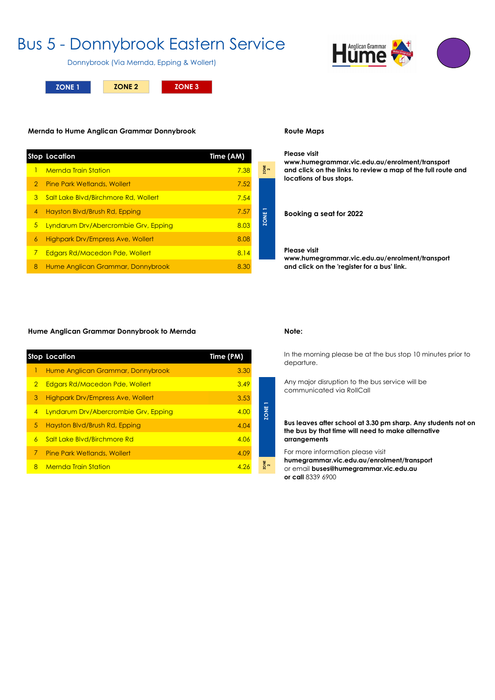## Bus 5 - Donnybrook Eastern Service

Donnybrook (Via Mernda, Epping & Wollert)

**ZONE 1 ZONE 2 ZONE 3**

#### **Mernda to Hume Anglican Grammar Donnybrook https://www.facebook.com/englinity-mappid/social/domain/ Route Maps**

|   | <b>Stop Location</b>                     | Time (AM) |             |
|---|------------------------------------------|-----------|-------------|
|   | <b>Mernda Train Station</b>              | 7.38      | ZONE        |
| 2 | <b>Pine Park Wetlands, Wollert</b>       | 7.52      |             |
| 3 | Salt Lake Blyd/Birchmore Rd, Wollert     | 7.54      |             |
| 4 | Hayston Blvd/Brush Rd, Epping            | 7.57      |             |
| 5 | Lyndarum Drv/Abercrombie Grv, Epping     | 8.03      | <b>ZONE</b> |
| 6 | <b>Highpark Drv/Empress Ave, Wollert</b> | 8.08      |             |
| 7 | Edgars Rd/Macedon Pde, Wollert           | 8.14      |             |
| 8 | Hume Anglican Grammar, Donnybrook        | 8.30      |             |
|   |                                          |           |             |

**2**

**Please visit www.humegrammar.vic.edu.au/enrolment/transport and click on the links to review a map of the full route and locations of bus stops.**

**Booking a seat for 2022**

### **Please visit**

**www.humegrammar.vic.edu.au/enrolment/transport and click on the 'register for a bus' link.**

#### **Hume Anglican Grammar Donnybrook to Mernda Note:**

|    | <b>Stop Location</b>                     | Time (PM) |
|----|------------------------------------------|-----------|
|    | Hume Anglican Grammar, Donnybrook        | 3.30      |
| 2  | <b>Edgars Rd/Macedon Pde, Wollert</b>    | 3.49      |
| 3  | <b>Highpark Dry/Empress Ave, Wollert</b> | 3.53      |
| 4  | Lyndarum Drv/Abercrombie Grv, Epping     | 4.00      |
| 5. | Hayston Blvd/Brush Rd, Epping            | 4.04      |
| 6  | Salt Lake Blvd/Birchmore Rd              | 4.06      |
| 7. | <b>Pine Park Wetlands, Wollert</b>       | 4.09      |
| 8  | <b>Mernda Train Station</b>              | 4.26      |

**ZONE 2**

**ZONE 1**

In the morning please be at the bus stop 10 minutes prior to departure.

Any major disruption to the bus service will be communicated via RollCall

**Bus leaves after school at 3.30 pm sharp. Any students not on the bus by that time will need to make alternative arrangements**

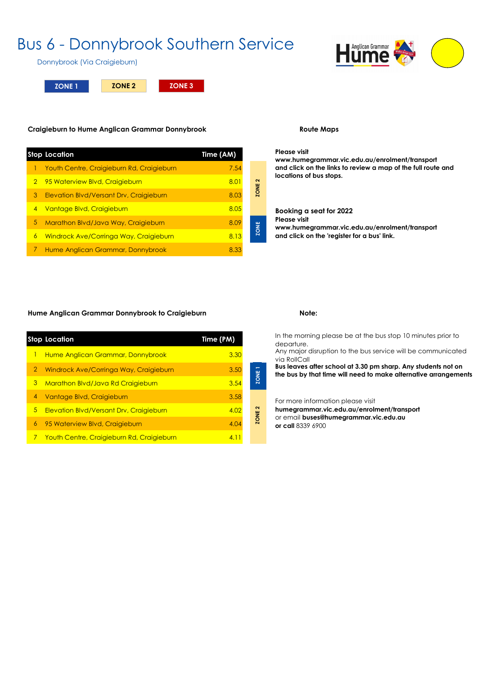## Bus 6 - Donnybrook Southern Service



Donnybrook (Via Craigieburn)

**ZONE 1 ZONE 2 ZONE 3**

### **Craigieburn to Hume Anglican Grammar Donnybrook Route Maps**

|   | <b>Stop Location</b>                      | Time (AM) |
|---|-------------------------------------------|-----------|
|   | Youth Centre, Craigieburn Rd, Craigieburn | 7.54      |
| 2 | 95 Waterview Blvd, Craigieburn            | 8.01      |
| 3 | Elevation Blvd/Versant Drv, Craigieburn   | 8.03      |
| 4 | Vantage Blvd, Craigieburn                 | 8.05      |
| 5 | Marathon Blvd/Java Way, Craigieburn       | 8.09      |
| 6 | Windrock Ave/Corringa Way, Craigieburn    | 8.13      |
|   | Hume Anglican Grammar, Donnybrook         | 8.33      |

**Please visit www.humegrammar.vic.edu.au/enrolment/transport and click on the links to review a map of the full route and locations of bus stops.**

**Booking a seat for 2022 Please visit www.humegrammar.vic.edu.au/enrolment/transport and click on the 'register for a bus' link.**

### Hume Anglican Grammar Donnybrook to Craigieburn **Note:** Note:

|   | <b>Stop Location</b>                      | Time (PM) |                |
|---|-------------------------------------------|-----------|----------------|
| ı | Hume Anglican Grammar, Donnybrook         | 3.30      |                |
| 2 | Windrock Ave/Corringa Way, Craigieburn    | 3.50      |                |
| 3 | Marathon Blvd/Java Rd Craigieburn         | 3.54      | ZONE           |
| 4 | Vantage Blvd, Craigieburn                 | 3.58      |                |
| 5 | Elevation Blvd/Versant Drv, Craigieburn   | 4.02      | $\sim$<br>ZONE |
| 6 | 95 Waterview Blvd, Craigieburn            | 4.04      |                |
| 7 | Youth Centre, Craigieburn Rd, Craigieburn | 4.11      |                |

**ZONE 1 ZONE ZONE 2**

ZONE<sub>2</sub>

ZONE

In the morning please be at the bus stop 10 minutes prior to departure.

Any major disruption to the bus service will be communicated via RollCall

**Bus leaves after school at 3.30 pm sharp. Any students not on the bus by that time will need to make alternative arrangements**

For more information please visit

**humegrammar.vic.edu.au/enrolment/transport** or email **buses@humegrammar.vic.edu.au or call** 8339 6900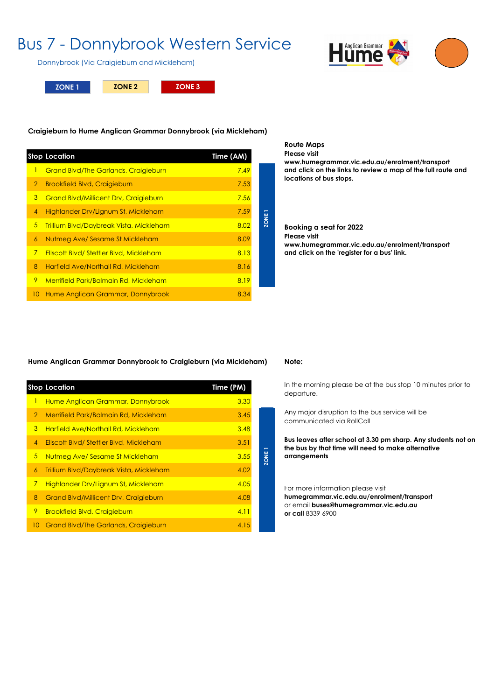## Bus 7 - Donnybrook Western Service

Donnybrook (Via Craigieburn and Mickleham)

**ZONE 1 ZONE 2 ZONE 3**



#### **Craigieburn to Hume Anglican Grammar Donnybrook (via Mickleham)**

|                 | <b>Stop Location</b>                                                                    | Time (AM)    |             |
|-----------------|-----------------------------------------------------------------------------------------|--------------|-------------|
| $\mathbf{I}$    | <b>Grand Blvd/The Garlands, Craigieburn</b>                                             | 7.49         |             |
| $\overline{2}$  | <b>Brookfield Blvd, Craigieburn</b>                                                     | 7.53         |             |
| 3               | <b>Grand Blvd/Millicent Drv, Craigieburn</b>                                            | 7.56         |             |
| $\overline{4}$  | Highlander Drv/Lignum St, Mickleham                                                     | 7.59         |             |
| $5\phantom{.0}$ | Trillium Blvd/Daybreak Vista, Mickleham                                                 | 8.02         | ZONE        |
| 6               | Nutmeg Ave/ Sesame St Mickleham                                                         | 8.09         |             |
| $\overline{7}$  | Ellscott Blvd/Stettler Blvd, Mickleham                                                  | 8.13         |             |
| 8               | Harfield Ave/Northall Rd, Mickleham                                                     | 8.16         |             |
| 9               | Merrifield Park/Balmain Rd, Mickleham                                                   | 8.19         |             |
| 10              | Hume Anglican Grammar, Donnybrook                                                       | 8.34         |             |
|                 |                                                                                         |              |             |
|                 | Hume Anglican Grammar Donnybrook to Craigieburn (via Mickleham)<br><b>Stop Location</b> | Time (PM)    |             |
| $\mathbf{I}$    | Hume Anglican Grammar, Donnybrook                                                       | 3.30         |             |
| $\overline{2}$  | Merrifield Park/Balmain Rd, Mickleham                                                   | 3.45         |             |
| 3               | Harfield Ave/Northall Rd, Mickleham                                                     | 3.48         |             |
| 4<br>5          | Ellscott Blvd/Stettler Blvd, Mickleham                                                  | 3.51<br>3.55 | <b>BIAC</b> |

#### **Route Maps Please visit www.humegrammar.vic.edu.au/enrolment/transport and click on the links to review a map of the full route and**

**locations of bus stops.**

Booking a seat for 2022 **Please visit www.humegrammar.vic.edu.au/enrolment/transport and click on the 'register for a bus' link.**

#### **Hume Anglican Grammar Donnybrook to Craigieburn (via Mickleham) Note:**

|                | <b>Stop Location</b>                         | Time (PM) |
|----------------|----------------------------------------------|-----------|
| $\mathbf{I}$   | Hume Anglican Grammar, Donnybrook            | 3.30      |
| $\overline{2}$ | Merrifield Park/Balmain Rd, Mickleham        | 3.45      |
| 3              | <b>Harfield Ave/Northall Rd, Mickleham</b>   | 3.48      |
| $\overline{4}$ | Ellscott Blvd/Stettler Blvd, Mickleham       | 3.51      |
| 5              | Nutmeg Ave/ Sesame St Mickleham              | 3.55      |
| 6              | Trillium Blvd/Daybreak Vista, Mickleham      | 4.02      |
| 7              | Highlander Drv/Lignum St, Mickleham          | 4.05      |
| 8              | <b>Grand Blvd/Millicent Drv, Craigieburn</b> | 4.08      |
| 9              | <b>Brookfield Blvd, Craigieburn</b>          | 4.11      |
| 10             | <b>Grand Blvd/The Garlands, Craigieburn</b>  | 4.15      |

In the morning please be at the bus stop 10 minutes prior to departure.

Any major disruption to the bus service will be communicated via RollCall

**Bus leaves after school at 3.30 pm sharp. Any students not on the bus by that time will need to make alternative arrangements**

#### For more information please visit

**humegrammar.vic.edu.au/enrolment/transport** or email **buses@humegrammar.vic.edu.au or call** 8339 6900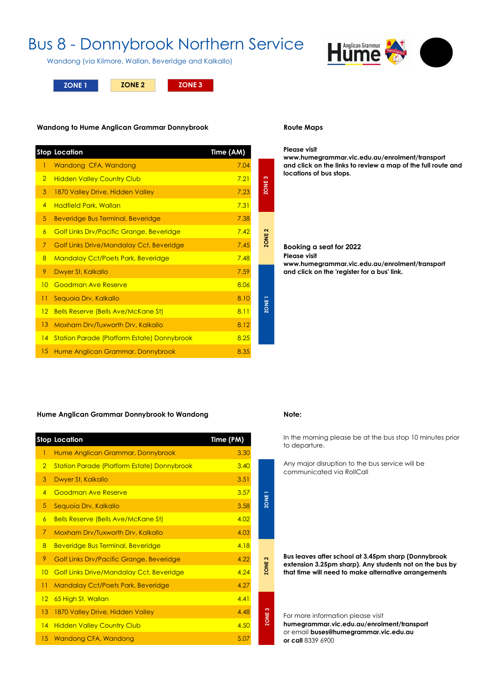## Bus 8 - Donnybrook Northern Service

Wandong (via Kilmore, Wallan, Beveridge and Kalkallo)



**ZONE 1 ZONE 3 ZONE 2**

#### **Wandong to Hume Anglican Grammar Donnybrook**

|                | <b>Stop Location</b>                               | Time (AM) |                   |
|----------------|----------------------------------------------------|-----------|-------------------|
| 1              | Wandong CFA, Wandong                               | 7.04      |                   |
| $\overline{2}$ | <b>Hidden Valley Country Club</b>                  | 7.21      | က                 |
| 3              | 1870 Valley Drive, Hidden Valley                   | 7.23      | ZONE:             |
| $\overline{4}$ | <b>Hadfield Park, Wallan</b>                       | 7.31      |                   |
| 5              | Beveridge Bus Terminal, Beveridge                  | 7.38      |                   |
| $\overline{6}$ | Golf Links Drv/Pacific Grange, Beveridge           | 7.42      | ZONE <sub>2</sub> |
| $\overline{7}$ | <b>Golf Links Drive/Mandalay Cct, Beveridge</b>    | 7.45      |                   |
| $\overline{8}$ | <b>Mandalay Cct/Poets Park, Beveridge</b>          | 7.48      |                   |
| 9              | Dwyer St, Kalkallo                                 | 7.59      |                   |
| 10             | <b>Goodman Ave Reserve</b>                         | 8.06      |                   |
| 11             | Sequoia Drv, Kalkallo                              | 8.10      | I 3NOZ            |
| 12             | <b>Bells Reserve (Bells Ave/McKane St)</b>         | 8.11      |                   |
| 13             | Moxham Drv/Tuxworth Drv, Kalkallo                  | 8.12      |                   |
| 4              | <b>Station Parade (Platform Estate) Donnybrook</b> | 8.25      |                   |
| 15             | Hume Anglican Grammar, Donnybrook                  | 8.35      |                   |

#### **Route Maps**

#### **Please visit**

**www.humegrammar.vic.edu.au/enrolment/transport and click on the links to review a map of the full route and locations of bus stops.**

#### **Booking a seat for 2022 Please visit www.humegrammar.vic.edu.au/enrolment/transport and click on the 'register for a bus' link.**

#### **Hume Anglican Grammar Donnybrook to Wandong Note:**

|                | <b>Stop Location</b>                               | Time (PM) |
|----------------|----------------------------------------------------|-----------|
| 1              | Hume Anglican Grammar, Donnybrook                  | 3.30      |
| $\overline{2}$ | <b>Station Parade (Platform Estate) Donnybrook</b> | 3.40      |
| 3              | Dwyer St, Kalkallo                                 | 3.51      |
| $\overline{4}$ | <b>Goodman Ave Reserve</b>                         | 3.57      |
| 5              | Sequoia Drv, Kalkallo                              | 3.58      |
| 6              | <b>Bells Reserve (Bells Ave/McKane St)</b>         | 4.02      |
| 7              | Moxham Drv/Tuxworth Drv, Kalkallo                  | 4.03      |
| 8              | <b>Beveridge Bus Terminal, Beveridge</b>           | 4.18      |
| 9              | Golf Links Drv/Pacific Grange, Beveridge           | 4.22      |
| 10             | <b>Golf Links Drive/Mandalay Cct, Beveridge</b>    | 4.24      |
| 11             | <b>Mandalay Cct/Poets Park, Beveridge</b>          | 4.27      |
| 12             | 65 High St, Wallan                                 | 4.41      |
| 13             | 1870 Valley Drive, Hidden Valley                   | 4.48      |
| 4              | <b>Hidden Valley Country Club</b>                  | 4.50      |
|                | 15 Wandong CFA, Wandong                            | 5.07      |

**ZONE 2 ZONE 2**

**ZONE 3 ZONE 1 ZONE 1**

ZONE<sub>1</sub>

ZONE<sub>2</sub>

ZONE<sub>3</sub>

In the morning please be at the bus stop 10 minutes prior to departure.

Any major disruption to the bus service will be communicated via RollCall

**Bus leaves after school at 3.45pm sharp (Donnybrook extension 3.25pm sharp). Any students not on the bus by that time will need to make alternative arrangements**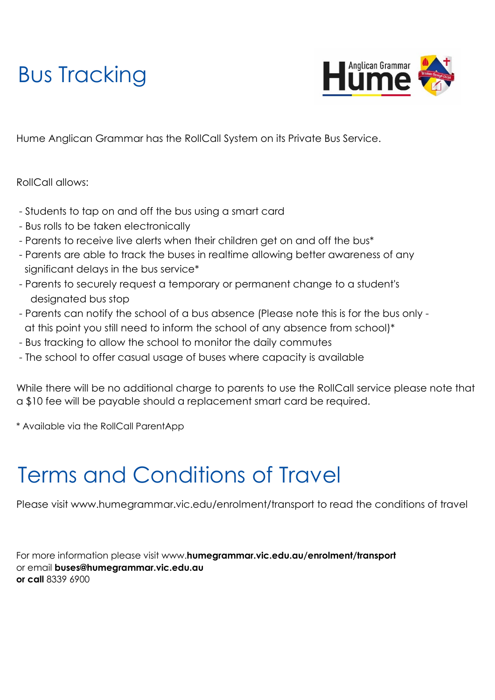# Bus Tracking



Hume Anglican Grammar has the RollCall System on its Private Bus Service.

RollCall allows:

- Students to tap on and off the bus using a smart card
- Bus rolls to be taken electronically
- Parents to receive live alerts when their children get on and off the bus\*
- significant delays in the bus service<sup>\*</sup> - Parents are able to track the buses in realtime allowing better awareness of any
- Parents to securely request a temporary or permanent change to a student's designated bus stop
- Parents can notify the school of a bus absence (Please note this is for the bus only at this point you still need to inform the school of any absence from school)\*
- Bus tracking to allow the school to monitor the daily commutes
- The school to offer casual usage of buses where capacity is available

While there will be no additional charge to parents to use the RollCall service please note that a \$10 fee will be payable should a replacement smart card be required.

\* Available via the RollCall ParentApp

# Terms and Conditions of Travel

Please visit www.humegrammar.vic.edu/enrolment/transport to read the conditions of travel